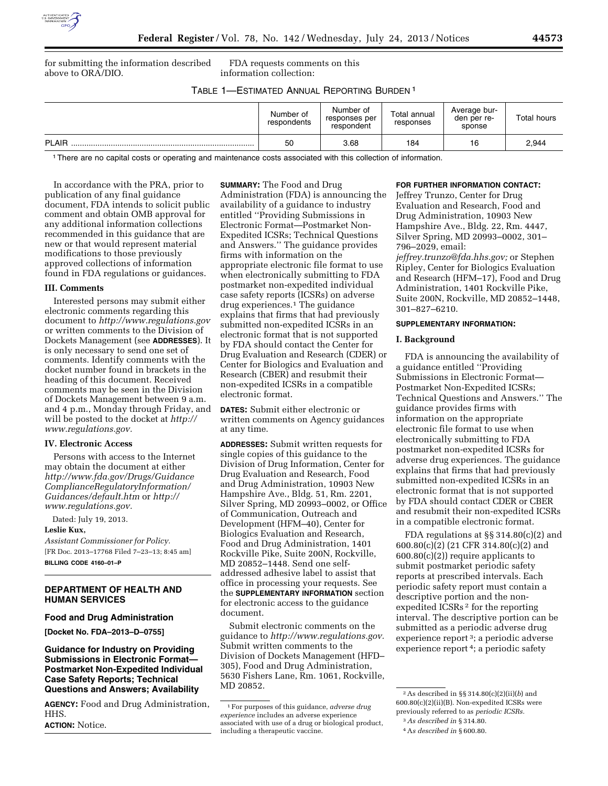

for submitting the information described above to ORA/DIO.

FDA requests comments on this information collection:

TABLE 1—ESTIMATED ANNUAL REPORTING BURDEN 1

|              | Number of<br>respondents | Number of<br>responses per<br>respondent | Total annual<br>responses | Average bur-<br>den per re-<br>sponse | <b>Total hours</b> |
|--------------|--------------------------|------------------------------------------|---------------------------|---------------------------------------|--------------------|
| <b>PLAIR</b> | 50                       | 3.68                                     | 184                       | 16                                    | 2.944              |

1There are no capital costs or operating and maintenance costs associated with this collection of information.

In accordance with the PRA, prior to publication of any final guidance document, FDA intends to solicit public comment and obtain OMB approval for any additional information collections recommended in this guidance that are new or that would represent material modifications to those previously approved collections of information found in FDA regulations or guidances.

## **III. Comments**

Interested persons may submit either electronic comments regarding this document to *<http://www.regulations.gov>* or written comments to the Division of Dockets Management (see **ADDRESSES**). It is only necessary to send one set of comments. Identify comments with the docket number found in brackets in the heading of this document. Received comments may be seen in the Division of Dockets Management between 9 a.m. and 4 p.m., Monday through Friday, and will be posted to the docket at *[http://](http://www.regulations.gov) [www.regulations.gov.](http://www.regulations.gov)* 

# **IV. Electronic Access**

Persons with access to the Internet may obtain the document at either *[http://www.fda.gov/Drugs/Guidance](http://www.fda.gov/Drugs/GuidanceComplianceRegulatoryInformation/Guidances/default.htm) [ComplianceRegulatoryInformation/](http://www.fda.gov/Drugs/GuidanceComplianceRegulatoryInformation/Guidances/default.htm) [Guidances/default.htm](http://www.fda.gov/Drugs/GuidanceComplianceRegulatoryInformation/Guidances/default.htm)* or *[http://](http://www.regulations.gov)  [www.regulations.gov.](http://www.regulations.gov)* 

Dated: July 19, 2013.

# **Leslie Kux,**

*Assistant Commissioner for Policy.*  [FR Doc. 2013–17768 Filed 7–23–13; 8:45 am] **BILLING CODE 4160–01–P** 

# **DEPARTMENT OF HEALTH AND HUMAN SERVICES**

### **Food and Drug Administration**

**[Docket No. FDA–2013–D–0755]** 

# **Guidance for Industry on Providing Submissions in Electronic Format— Postmarket Non-Expedited Individual Case Safety Reports; Technical Questions and Answers; Availability**

**AGENCY:** Food and Drug Administration, HHS.

**ACTION:** Notice.

**SUMMARY:** The Food and Drug Administration (FDA) is announcing the availability of a guidance to industry entitled ''Providing Submissions in Electronic Format—Postmarket Non-Expedited ICSRs; Technical Questions and Answers.'' The guidance provides firms with information on the appropriate electronic file format to use when electronically submitting to FDA postmarket non-expedited individual case safety reports (ICSRs) on adverse drug experiences.1 The guidance explains that firms that had previously submitted non-expedited ICSRs in an electronic format that is not supported by FDA should contact the Center for Drug Evaluation and Research (CDER) or Center for Biologics and Evaluation and Research (CBER) and resubmit their non-expedited ICSRs in a compatible electronic format.

**DATES:** Submit either electronic or written comments on Agency guidances at any time.

**ADDRESSES:** Submit written requests for single copies of this guidance to the Division of Drug Information, Center for Drug Evaluation and Research, Food and Drug Administration, 10903 New Hampshire Ave., Bldg. 51, Rm. 2201, Silver Spring, MD 20993–0002, or Office of Communication, Outreach and Development (HFM–40), Center for Biologics Evaluation and Research, Food and Drug Administration, 1401 Rockville Pike, Suite 200N, Rockville, MD 20852–1448. Send one selfaddressed adhesive label to assist that office in processing your requests. See the **SUPPLEMENTARY INFORMATION** section for electronic access to the guidance document.

Submit electronic comments on the guidance to *[http://www.regulations.gov.](http://www.regulations.gov)*  Submit written comments to the Division of Dockets Management (HFD– 305), Food and Drug Administration, 5630 Fishers Lane, Rm. 1061, Rockville, MD 20852.

### **FOR FURTHER INFORMATION CONTACT:**

Jeffrey Trunzo, Center for Drug Evaluation and Research, Food and Drug Administration, 10903 New Hampshire Ave., Bldg. 22, Rm. 4447, Silver Spring, MD 20993–0002, 301– 796–2029, email:

*[jeffrey.trunzo@fda.hhs.gov;](mailto:jeffrey.trunzo@fda.hhs.gov)* or Stephen Ripley, Center for Biologics Evaluation and Research (HFM–17), Food and Drug Administration, 1401 Rockville Pike, Suite 200N, Rockville, MD 20852–1448, 301–827–6210.

# **SUPPLEMENTARY INFORMATION:**

#### **I. Background**

FDA is announcing the availability of a guidance entitled ''Providing Submissions in Electronic Format— Postmarket Non-Expedited ICSRs; Technical Questions and Answers.'' The guidance provides firms with information on the appropriate electronic file format to use when electronically submitting to FDA postmarket non-expedited ICSRs for adverse drug experiences. The guidance explains that firms that had previously submitted non-expedited ICSRs in an electronic format that is not supported by FDA should contact CDER or CBER and resubmit their non-expedited ICSRs in a compatible electronic format.

FDA regulations at §§ 314.80(c)(2) and 600.80(c)(2) (21 CFR 314.80(c)(2) and 600.80(c)(2)) require applicants to submit postmarket periodic safety reports at prescribed intervals. Each periodic safety report must contain a descriptive portion and the nonexpedited ICSRs 2 for the reporting interval. The descriptive portion can be submitted as a periodic adverse drug experience report 3; a periodic adverse experience report 4; a periodic safety

<sup>1</sup>For purposes of this guidance, *adverse drug experience* includes an adverse experience associated with use of a drug or biological product, including a therapeutic vaccine.

 $^2$  As described in  $\S\S\,314.80(c)(2)(\mathrm{ii})(b)$  and 600.80(c)(2)(ii)(B). Non-expedited ICSRs were previously referred to as *periodic ICSRs.* 

<sup>3</sup>*As described in* § 314.80.

<sup>4</sup>A*s described in* § 600.80.